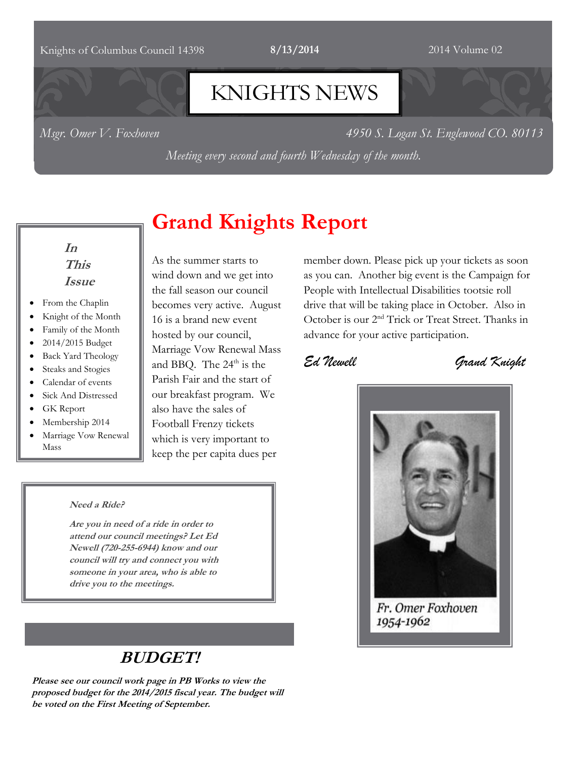#### Knights of Columbus Council 14398 **8/13/2014** 2014 Volume 02

# KNIGHTS NEWS

*Msgr. Omer V. Foxhoven 4950 S. Logan St. Englewood CO. 80113*

*Meeting every second and fourth Wednesday of the month.*

**Grand Knights Report**

### **In This Issue**

- From the Chaplin
- Knight of the Month
- Family of the Month
- 2014/2015 Budget
- Back Yard Theology
- Steaks and Stogies
- Calendar of events
- Sick And Distressed
- GK Report
- Membership 2014
- Marriage Vow Renewal Mass

As the summer starts to wind down and we get into the fall season our council becomes very active. August 16 is a brand new event hosted by our council, Marriage Vow Renewal Mass and BBQ. The  $24<sup>th</sup>$  is the Parish Fair and the start of our breakfast program. We also have the sales of Football Frenzy tickets which is very important to keep the per capita dues per

#### **Need a Ride?**

**Are you in need of a ride in order to attend our council meetings? Let Ed Newell (720-255-6944) know and our council will try and connect you with someone in your area, who is able to drive you to the meetings.** 

# **BUDGET!**

**Please see our council work page in PB Works to view the proposed budget for the 2014/2015 fiscal year. The budget will be voted on the First Meeting of September.**

member down. Please pick up your tickets as soon as you can. Another big event is the Campaign for People with Intellectual Disabilities tootsie roll drive that will be taking place in October. Also in October is our 2<sup>nd</sup> Trick or Treat Street. Thanks in advance for your active participation.

*Ed Newell Grand Knight*



Fr. Omer Foxhoven 1954-1962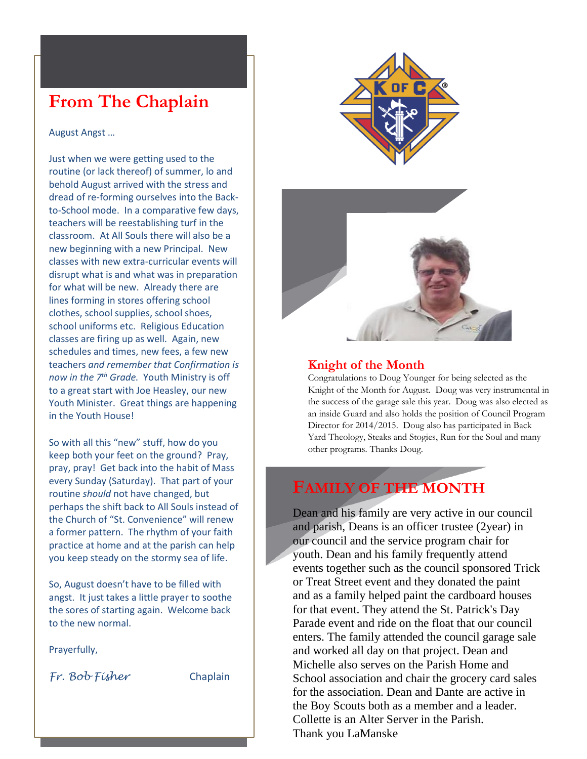# **From The Chaplain**

August Angst …

Just when we were getting used to the routine (or lack thereof) of summer, lo and behold August arrived with the stress and dread of re-forming ourselves into the Backto-School mode. In a comparative few days, teachers will be reestablishing turf in the classroom. At All Souls there will also be a new beginning with a new Principal. New classes with new extra-curricular events will disrupt what is and what was in preparation for what will be new. Already there are lines forming in stores offering school clothes, school supplies, school shoes, school uniforms etc. Religious Education classes are firing up as well. Again, new schedules and times, new fees, a few new teachers *and remember that Confirmation is now in the 7th Grade.* Youth Ministry is off to a great start with Joe Heasley, our new Youth Minister. Great things are happening in the Youth House!

So with all this "new" stuff, how do you keep both your feet on the ground? Pray, pray, pray! Get back into the habit of Mass every Sunday (Saturday). That part of your routine *should* not have changed, but perhaps the shift back to All Souls instead of the Church of "St. Convenience" will renew a former pattern. The rhythm of your faith practice at home and at the parish can help you keep steady on the stormy sea of life.

So, August doesn't have to be filled with angst. It just takes a little prayer to soothe the sores of starting again. Welcome back to the new normal.

Prayerfully,

*Fr. Bob Fisher* Chaplain





#### **Knight of the Month**

Congratulations to Doug Younger for being selected as the Knight of the Month for August. Doug was very instrumental in the success of the garage sale this year. Doug was also elected as an inside Guard and also holds the position of Council Program Director for 2014/2015. Doug also has participated in Back Yard Theology, Steaks and Stogies, Run for the Soul and many other programs. Thanks Doug.

## **FAMILY OF THE MONTH**

Dean and his family are very active in our council and parish, Deans is an officer trustee (2year) in our council and the service program chair for youth. Dean and his family frequently attend events together such as the council sponsored Trick or Treat Street event and they donated the paint and as a family helped paint the cardboard houses for that event. They attend the St. Patrick's Day Parade event and ride on the float that our council enters. The family attended the council garage sale and worked all day on that project. Dean and Michelle also serves on the Parish Home and School association and chair the grocery card sales for the association. Dean and Dante are active in the Boy Scouts both as a member and a leader. Collette is an Alter Server in the Parish. Thank you LaManske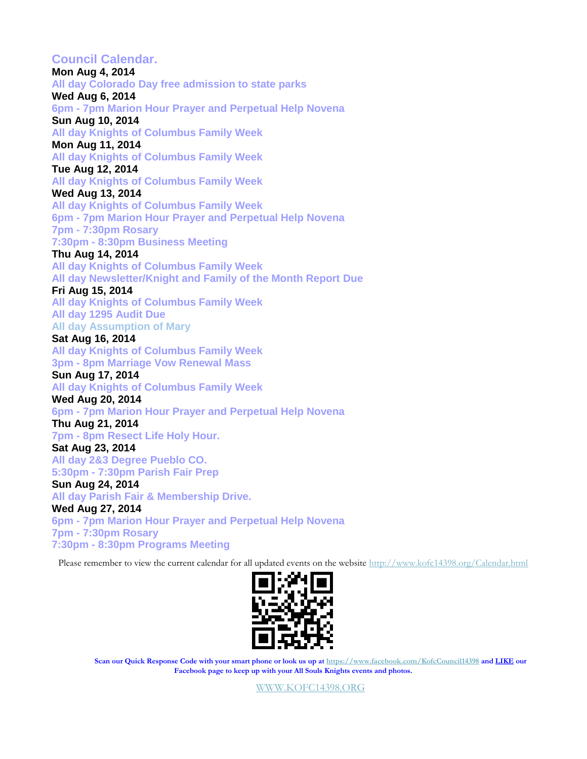**Council Calendar. Mon Aug 4, 2014 All day Colorado Day free admission to state parks Wed Aug 6, 2014 6pm - 7pm Marion Hour Prayer and Perpetual Help Novena Sun Aug 10, 2014 All day Knights of Columbus Family Week Mon Aug 11, 2014 All day Knights of Columbus Family Week Tue Aug 12, 2014 All day Knights of Columbus Family Week Wed Aug 13, 2014 All day Knights of Columbus Family Week 6pm - 7pm Marion Hour Prayer and Perpetual Help Novena 7pm - 7:30pm Rosary 7:30pm - 8:30pm Business Meeting Thu Aug 14, 2014 All day Knights of Columbus Family Week All day Newsletter/Knight and Family of the Month Report Due Fri Aug 15, 2014 All day Knights of Columbus Family Week All day 1295 Audit Due All day Assumption of Mary Sat Aug 16, 2014 All day Knights of Columbus Family Week 3pm - 8pm Marriage Vow Renewal Mass Sun Aug 17, 2014 All day Knights of Columbus Family Week Wed Aug 20, 2014 6pm - 7pm Marion Hour Prayer and Perpetual Help Novena Thu Aug 21, 2014 7pm - 8pm Resect Life Holy Hour. Sat Aug 23, 2014 All day 2&3 Degree Pueblo CO. 5:30pm - 7:30pm Parish Fair Prep Sun Aug 24, 2014 All day Parish Fair & Membership Drive. Wed Aug 27, 2014 6pm - 7pm Marion Hour Prayer and Perpetual Help Novena 7pm - 7:30pm Rosary 7:30pm - 8:30pm Programs Meeting**

Please remember to view the current calendar for all updated events on the website<http://www.kofc14398.org/Calendar.html>



**Scan our Quick Response Code with your smart phone or look us up at <https://www.facebook.com/KofcCouncil14398> and LIKE our Facebook page to keep up with your All Souls Knights events and photos.**

[WWW.KOFC14398.ORG](http://www.kofc14398.org/)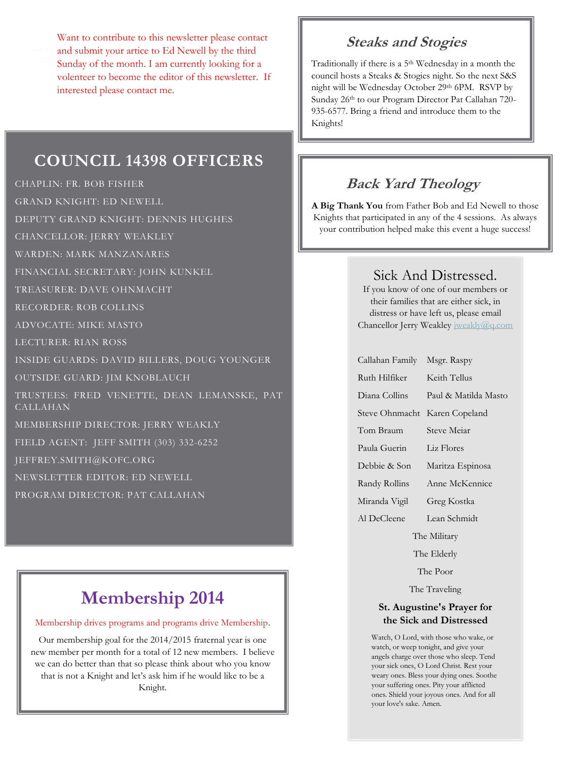Want to contribute to this newsletter please contact and submit your artice to Ed Newell by the third Sunday of the month. I am currently looking for a volenteer to become the editor of this newsletter. If interested please contact me.

### **COUNCIL 14398 OFFICERS**

CHAPLIN: FR. BOB FISHER

GRAND KNIGHT: ED NEWELL

DEPUTY GRAND KNIGHT: DENNIS HUGHES

CHANCELLOR: JERRY WEAKLEY

WARDEN: MARK MANZANARES

FINANCIAL SECRETARY: JOHN KUNKEL

TREASURER: DAVE OHNMACHT

RECORDER: ROB COLLINS

ADVOCATE: MIKE MASTO

LECTURER: RIAN ROSS

INSIDE GUARDS: DAVID BILLERS, DOUG YOUNGER

OUTSIDE GUARD: JIM KNOBLAUCH

TRUSTEES: FRED VENETTE, DEAN LEMANSKE, PAT CALLAHAN

MEMBERSHIP DIRECTOR: JERRY WEAKLY

FIELD AGENT: JEFF SMITH (303) 332-6252

JEFFREY.SMITH@KOFC.ORG

NEWSLETTER EDITOR: ED NEWELL

PROGRAM DIRECTOR: PAT CALLAHAN

# **Membership 2014**

#### Membership drives programs and programs drive Membership.

Our membership goal for the 2014/2015 fraternal year is one new member per month for a total of 12 new members. I believe we can do better than that so please think about who you know that is not a Knight and let's ask him if he would like to be a Knight.

### **Steaks and Stogies**

Traditionally if there is a 5th Wednesday in a month the council hosts a Steaks & Stogies night. So the next S&S night will be Wednesday October 29th 6PM. RSVP by Sunday 26th to our Program Director Pat Callahan 720- 935-6577. Bring a friend and introduce them to the Knights!

# **Back Yard Theology**

**A Big Thank You** from Father Bob and Ed Newell to those Knights that participated in any of the 4 sessions. As always your contribution helped make this event a huge success!

## Sick And Distressed.

If you know of one of our members or their families that are either sick, in distress or have left us, please email Chancellor Jerry Weakley [jweakly@q.com](mailto:jweakly@q.com)

| Callahan Family | Msgr. Raspy          |
|-----------------|----------------------|
| Ruth Hilfiker   | Keith Tellus         |
| Diana Collins   | Paul & Matilda Masto |
| Steve Ohnmacht  | Karen Copeland       |
| Tom Braum       | Steve Meiar          |
| Paula Guerin    | Liz Flores           |
| Debbie & Son    | Maritza Espinosa     |
| Randy Rollins   | Anne McKennice       |
| Miranda Vigil   | Greg Kostka          |
| Al DeCleene     | Lean Schmidt         |
| The Military    |                      |
|                 |                      |

The Elderly

The Poor

The Traveling

#### **St. Augustine's Prayer for the Sick and Distressed**

Watch, O Lord, with those who wake, or watch, or weep tonight, and give your angels charge over those who sleep. Tend your sick ones, O Lord Christ. Rest your weary ones. Bless your dying ones. Soothe your suffering ones. Pity your afflicted ones. Shield your joyous ones. And for all your love's sake. Amen.